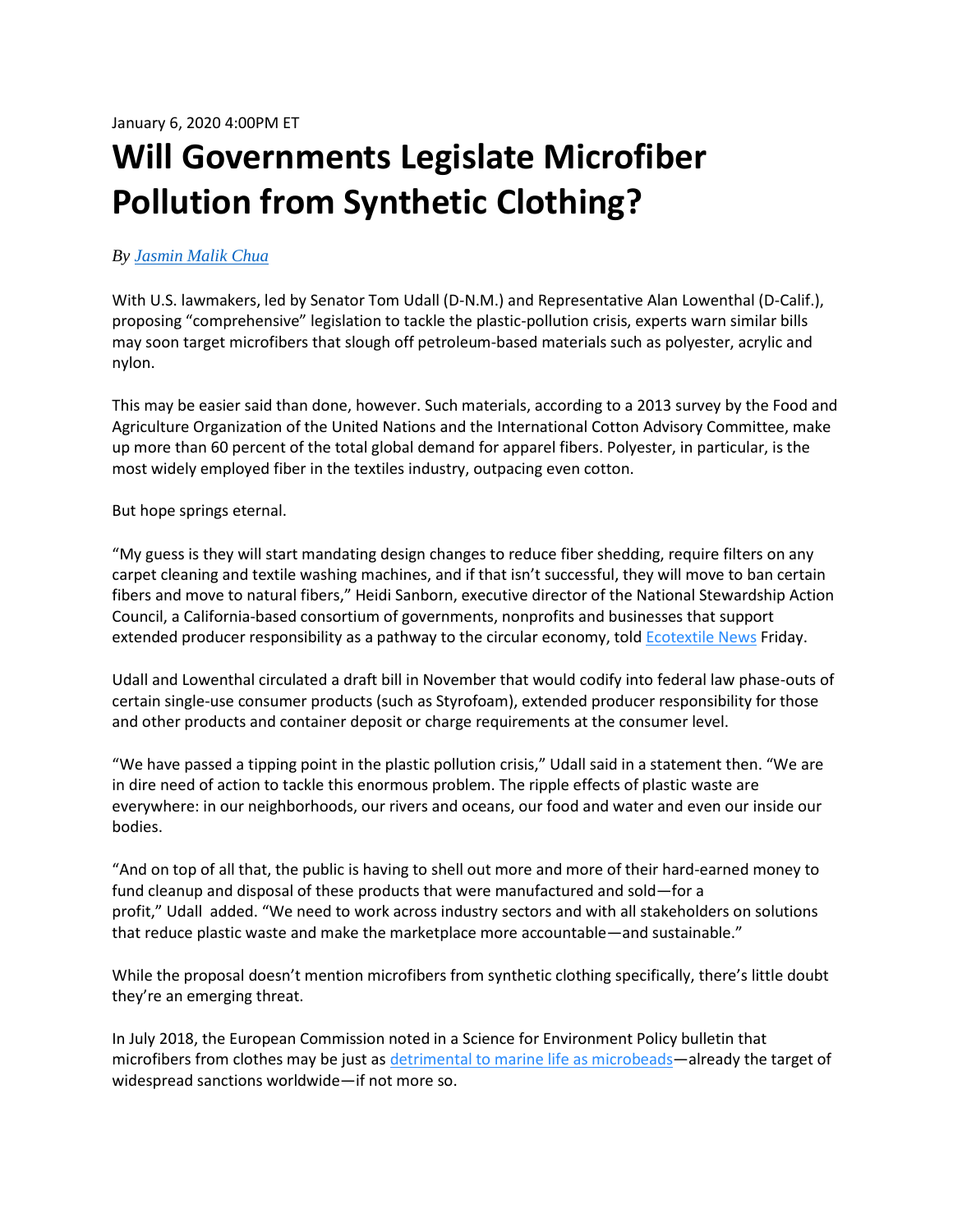## **Will Governments Legislate Microfiber Pollution from Synthetic Clothing?**

## *By [Jasmin Malik Chua](https://sourcingjournal.com/author/minchua/)*

With U.S. lawmakers, led by Senator Tom Udall (D-N.M.) and Representative Alan Lowenthal (D-Calif.), proposing "comprehensive" legislation to tackle the plastic-pollution crisis, experts warn similar bills may soon target microfibers that slough off petroleum-based materials such as polyester, acrylic and nylon.

This may be easier said than done, however. Such materials, according to a 2013 survey by the Food and Agriculture Organization of the United Nations and the International Cotton Advisory Committee, make up more than 60 percent of the total global demand for apparel fibers. Polyester, in particular, is the most widely employed fiber in the textiles industry, outpacing even cotton.

But hope springs eternal.

"My guess is they will start mandating design changes to reduce fiber shedding, require filters on any carpet cleaning and textile washing machines, and if that isn't successful, they will move to ban certain fibers and move to natural fibers," Heidi Sanborn, executive director of the National Stewardship Action Council, a California-based consortium of governments, nonprofits and businesses that support extended producer responsibility as a pathway to the circular economy, told **Ecotextile News Friday**.

Udall and Lowenthal circulated a draft bill in November that would codify into federal law phase-outs of certain single-use consumer products (such as Styrofoam), extended producer responsibility for those and other products and container deposit or charge requirements at the consumer level.

"We have passed a tipping point in the plastic pollution crisis," Udall said in a statement then. "We are in dire need of action to tackle this enormous problem. The ripple effects of plastic waste are everywhere: in our neighborhoods, our rivers and oceans, our food and water and even our inside our bodies.

"And on top of all that, the public is having to shell out more and more of their hard-earned money to fund cleanup and disposal of these products that were manufactured and sold—for a profit," Udall added. "We need to work across industry sectors and with all stakeholders on solutions that reduce plastic waste and make the marketplace more accountable—and sustainable."

While the proposal doesn't mention microfibers from synthetic clothing specifically, there's little doubt they're an emerging threat.

In July 2018, the European Commission noted in a Science for Environment Policy bulletin that microfibers from clothes may be just a[s detrimental to marine life as microbeads](https://sourcingjournal.com/topics/sustainability/microfibers-microbeads-111489/)—already the target of widespread sanctions worldwide—if not more so.